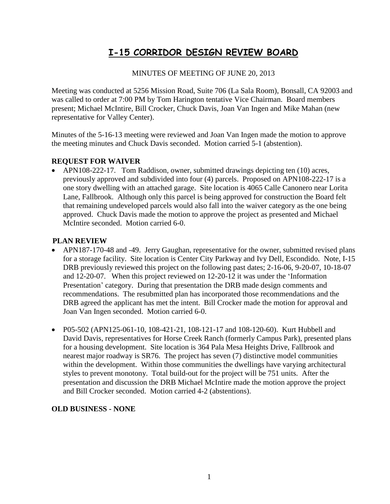# **I-15 CORRIDOR DESIGN REVIEW BOARD**

#### MINUTES OF MEETING OF JUNE 20, 2013

Meeting was conducted at 5256 Mission Road, Suite 706 (La Sala Room), Bonsall, CA 92003 and was called to order at 7:00 PM by Tom Harington tentative Vice Chairman. Board members present; Michael McIntire, Bill Crocker, Chuck Davis, Joan Van Ingen and Mike Mahan (new representative for Valley Center).

Minutes of the 5-16-13 meeting were reviewed and Joan Van Ingen made the motion to approve the meeting minutes and Chuck Davis seconded. Motion carried 5-1 (abstention).

### **REQUEST FOR WAIVER**

• APN108-222-17. Tom Raddison, owner, submitted drawings depicting ten (10) acres, previously approved and subdivided into four (4) parcels. Proposed on APN108-222-17 is a one story dwelling with an attached garage. Site location is 4065 Calle Canonero near Lorita Lane, Fallbrook. Although only this parcel is being approved for construction the Board felt that remaining undeveloped parcels would also fall into the waiver category as the one being approved. Chuck Davis made the motion to approve the project as presented and Michael McIntire seconded. Motion carried 6-0.

#### **PLAN REVIEW**

- APN187-170-48 and -49. Jerry Gaughan, representative for the owner, submitted revised plans for a storage facility. Site location is Center City Parkway and Ivy Dell, Escondido. Note, I-15 DRB previously reviewed this project on the following past dates; 2-16-06, 9-20-07, 10-18-07 and 12-20-07. When this project reviewed on 12-20-12 it was under the 'Information Presentation' category. During that presentation the DRB made design comments and recommendations. The resubmitted plan has incorporated those recommendations and the DRB agreed the applicant has met the intent. Bill Crocker made the motion for approval and Joan Van Ingen seconded. Motion carried 6-0.
- P05-502 (APN125-061-10, 108-421-21, 108-121-17 and 108-120-60). Kurt Hubbell and David Davis, representatives for Horse Creek Ranch (formerly Campus Park), presented plans for a housing development. Site location is 364 Pala Mesa Heights Drive, Fallbrook and nearest major roadway is SR76. The project has seven (7) distinctive model communities within the development. Within those communities the dwellings have varying architectural styles to prevent monotony. Total build-out for the project will be 751 units. After the presentation and discussion the DRB Michael McIntire made the motion approve the project and Bill Crocker seconded. Motion carried 4-2 (abstentions).

## **OLD BUSINESS - NONE**